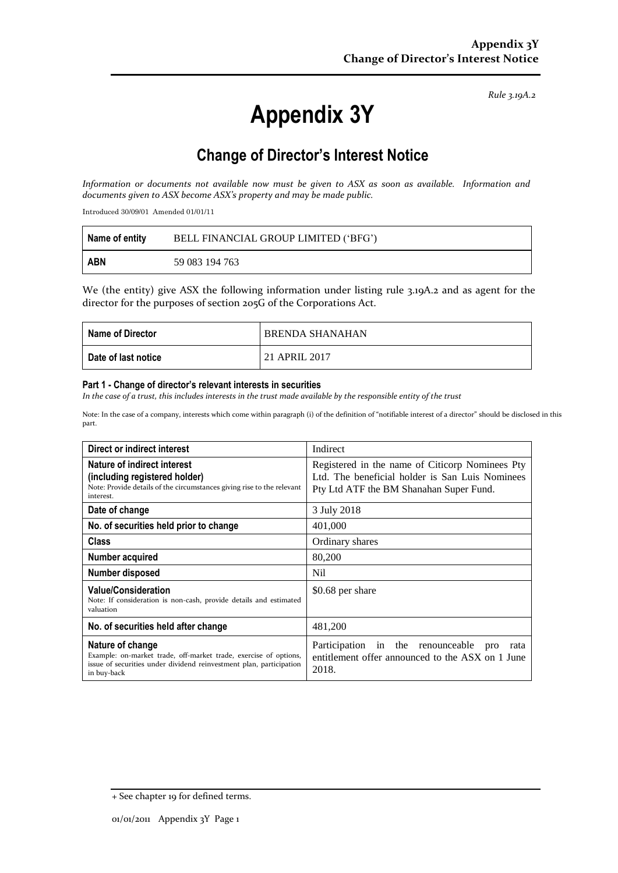*Rule 3.19A.2*

# **Appendix 3Y**

# **Change of Director's Interest Notice**

*Information or documents not available now must be given to ASX as soon as available. Information and documents given to ASX become ASX's property and may be made public.*

Introduced 30/09/01 Amended 01/01/11

| Name of entity | BELL FINANCIAL GROUP LIMITED ('BFG') |
|----------------|--------------------------------------|
| ABN            | 59 083 194 763                       |

We (the entity) give ASX the following information under listing rule 3.19A.2 and as agent for the director for the purposes of section 205G of the Corporations Act.

| <b>Name of Director</b> | <b>BRENDA SHANAHAN</b> |
|-------------------------|------------------------|
| Date of last notice     | 21 APRIL 2017          |

#### **Part 1 - Change of director's relevant interests in securities**

*In the case of a trust, this includes interests in the trust made available by the responsible entity of the trust*

Note: In the case of a company, interests which come within paragraph (i) of the definition of "notifiable interest of a director" should be disclosed in this part.

| Direct or indirect interest                                                                                                                                                | Indirect                                                                                                                                      |
|----------------------------------------------------------------------------------------------------------------------------------------------------------------------------|-----------------------------------------------------------------------------------------------------------------------------------------------|
| Nature of indirect interest<br>(including registered holder)<br>Note: Provide details of the circumstances giving rise to the relevant<br>interest.                        | Registered in the name of Citicorp Nominees Pty<br>Ltd. The beneficial holder is San Luis Nominees<br>Pty Ltd ATF the BM Shanahan Super Fund. |
| Date of change                                                                                                                                                             | 3 July 2018                                                                                                                                   |
| No. of securities held prior to change                                                                                                                                     | 401,000                                                                                                                                       |
| <b>Class</b>                                                                                                                                                               | Ordinary shares                                                                                                                               |
| Number acquired                                                                                                                                                            | 80,200                                                                                                                                        |
| Number disposed                                                                                                                                                            | Nil                                                                                                                                           |
| <b>Value/Consideration</b><br>Note: If consideration is non-cash, provide details and estimated<br>valuation                                                               | \$0.68 per share                                                                                                                              |
| No. of securities held after change                                                                                                                                        | 481,200                                                                                                                                       |
| Nature of change<br>Example: on-market trade, off-market trade, exercise of options,<br>issue of securities under dividend reinvestment plan, participation<br>in buy-back | Participation in the renounceable<br>pro<br>rata<br>entitlement offer announced to the ASX on 1 June<br>2018.                                 |

<sup>+</sup> See chapter 19 for defined terms.